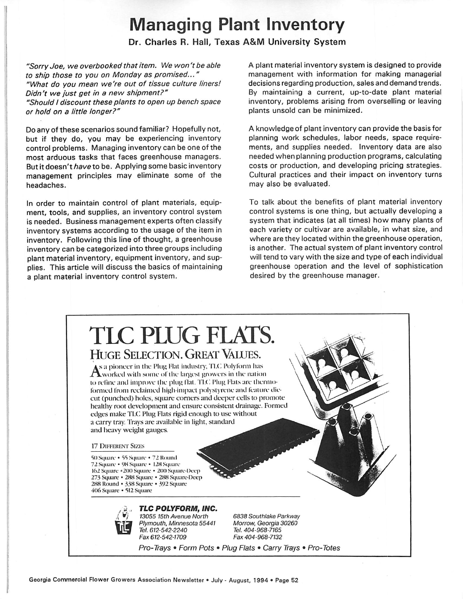## *Managing Plant Inventory*

## *Dr. Charles R. Hall, Texas A&M University System*

**"SorryJoe, we overbooked that item. We won't be able to ship those to you on Monday as promised..." "What do you mean we're out of tissue culture liners! Didn't we just get in a new shipment?" "Should I discount these plants to open up bench space or hold on a little longer?"**

Do any of these scenarios sound familiar? Hopefully not, but if they do, you may be experiencing inventory control problems. Managing inventory can be one of the most arduous tasks that faces greenhouse managers. But it doesn't **have** to be. Applying some basic inventory management principles may eliminate some of the headaches.

In order to maintain control of plant materials, equipment, tools, and supplies, an inventory control system is needed. Business management experts often classify inventory systems according to the usage of the item in inventory. Following this line of thought, a greenhouse inventory can be categorized into three groups including plant material inventory, equipment inventory, and sup plies. This article will discuss the basics of maintaining a plant material inventory control system.

A plant material inventory system is designed to provide management with information for making managerial decisions regarding production, sales and demand trends. By maintaining a current, up-to-date plant material inventory, problems arising from overselling or leaving plants unsold can be minimized.

A knowledge of plant inventory can provide the basis for planning work schedules, labor needs, space require ments, and supplies needed. Inventory data are also needed when planning production programs, calculating costs or production, and developing pricing strategies. Cultural practices and their impact on inventory turns may also be evaluated.

To talk about the benefits of plant material inventory control systems is one thing, but actually developing a system that indicates (at all times) how many plants of each variety or cultivar are available, in what size, and where are they located within the greenhouse operation, is another. The actual system of plant inventory control will tend to vary with the size and type of each individual greenhouse operation and the level of sophistication desired by the greenhouse manager.